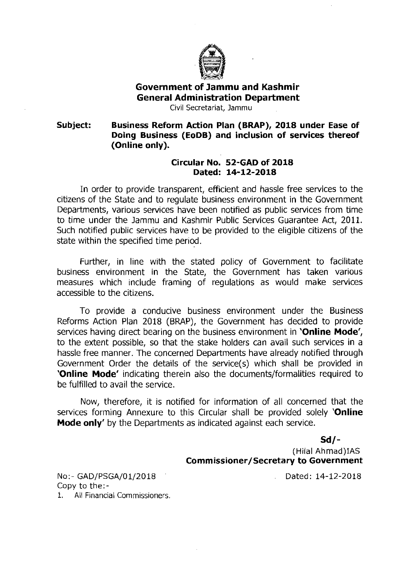

## **Government of Jammu and Kashmir General Administration Department**

Civil Secretariat, Jamrnu

**Subject: Business Reform Action Plan (BRAP), 2018 under Ease of Doing Business (EoDB) and inclusion of services thereof (Online only).** 

## **Circular No. 52-GAD of 2018 Dated: 14-12-2018**

In order to provide transparent, efficient and hassle free services to the citizens of the State and to regulate business environment in the Government Departments, various services have been notified as public services from time to time under the Jammu and Kashmir Public Services Guarantee Act, 2011. Such notified public services have to be provided to the eligible citizens of the state within the specified time period.

Further, in line with the stated policy of Government to facilitate business environment in the State, the Government has taken various measures which include framing of regulations as would make services accessible to the citizens.

To provide a conducive business environment under the Business Reforms Action Plan 2018 (BRAP), the Government has decided to provide services having direct bearing on the business environment in **'Online Mode',**  to the extent possible, so that the stake holders can avail such services in a hassle free manner. The concerned Departments have already notified through Government Order the details of the service(s) which shall be provided in **'Online Mode'** indicating therein also the documents/formalities required to be fulfilled to avail the service.

Now, therefore, it is notified for information of all concerned that the services forming Annexure to this Circular shall be provided solely **'Online Mode only'** by the Departments as indicated against each service.

**Sd/-** 

(Hilal Ahmad)IAS **Commissioner/Secretary to Government** 

NO:- GAD/PSGA/01/2018 Copy to the:- 1. All Financial Commissioners. Dated: 14-12-2018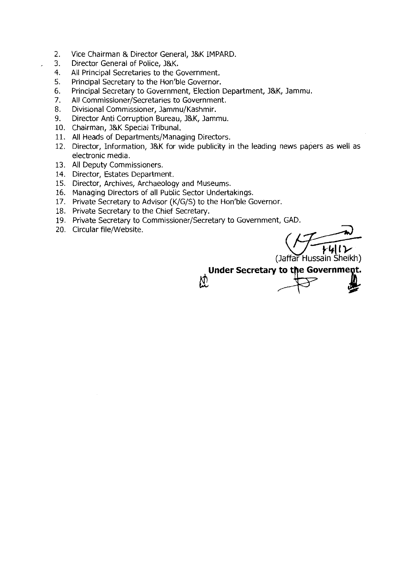- 2. Vice Chairman & Director General, I&K IMPARD.
- 3. Director General of Police, J&K.<br>4. All Principal Secretaries to the G
- All Principal Secretaries to the Government.
- 5. Principal Secretary to the Hon'ble Governor.
- 6. Principal Secretary to Government, Election Department, I&K, lammu.
- 7. All Commissioner/Secretaries to Government.
- 8. Divisional Commissioner, Jammu/Kashmir.
- 9. Director Anti Corruption Bureau, l&K, Jammu.
- 10. Chairman, l&K Special Tribunal.
- 11. All Heads of Departments/Managing Directors.
- 12. Director, Information, l&K for wide publicity in the leading news papers as well as electronic media.
- 13. All Deputy Commissioners.
- 14. Director, Estates Department.
- 15. Director, Archives, Archaeology and Museums.
- 16. Managing Directors of all Public Sector Undertakings.
- 17. Private Secretary to Advisor (K/G/S) to the Hon'ble Governor.
- 18. Private Secretary to the Chief Secretary.
- 19. Private Secretary to Commissioner/Secretary to Government, GAD.
- 20. Circular file/Website.

(Jaffar Hussain Sheikh)

**Under Secretary to the Government.**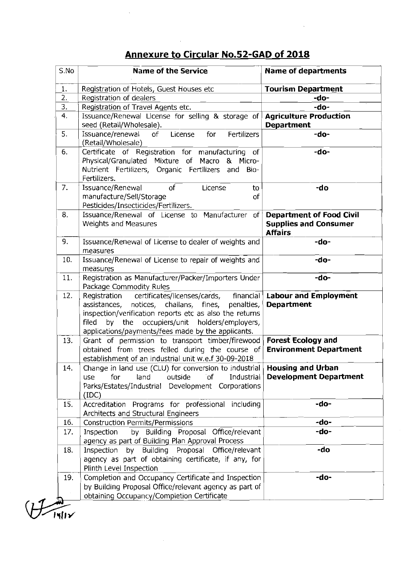## Annexure to Circular No.52-GAD of 2018

 $\bar{\mathbf{z}}$ 

| S.No             | <b>Name of the Service</b>                                                                                                                                                                                                                                                        | <b>Name of departments</b>                                 |  |  |
|------------------|-----------------------------------------------------------------------------------------------------------------------------------------------------------------------------------------------------------------------------------------------------------------------------------|------------------------------------------------------------|--|--|
| 1.               | Registration of Hotels, Guest Houses etc                                                                                                                                                                                                                                          | <b>Tourism Department</b>                                  |  |  |
| $\overline{2}$ . | Registration of dealers<br>-do-                                                                                                                                                                                                                                                   |                                                            |  |  |
| 3.               | Registration of Travel Agents etc.<br>-do-                                                                                                                                                                                                                                        |                                                            |  |  |
| 4.               | Issuance/Renewal License for selling & storage of<br><b>Agriculture Production</b><br>seed (Retail/Wholesale).<br><b>Department</b>                                                                                                                                               |                                                            |  |  |
| 5.               | Issuance/renewal<br>License<br>Fertilizers<br>of<br>for<br>(Retail/Wholesale)                                                                                                                                                                                                     | -do-                                                       |  |  |
| 6.               | Certificate of Registration for manufacturing of<br>-do-<br>Physical/Granulated Mixture of Macro & Micro-<br>Nutrient Fertilizers, Organic Fertilizers and Bio-<br>Fertilizers.                                                                                                   |                                                            |  |  |
| 7.               | Issuance/Renewal<br>of<br>License<br>to<br>manufacture/Sell/Storage<br>of<br>Pesticides/Insecticides/Fertilizers.                                                                                                                                                                 | -do                                                        |  |  |
| 8.               | Issuance/Renewal of License to Manufacturer of<br><b>Department of Food Civil</b><br>Weights and Measures<br><b>Supplies and Consumer</b><br><b>Affairs</b>                                                                                                                       |                                                            |  |  |
| 9.               | Issuance/Renewal of License to dealer of weights and<br>measures                                                                                                                                                                                                                  | -do-                                                       |  |  |
| 10.              | Issuance/Renewal of License to repair of weights and<br>measures                                                                                                                                                                                                                  | -do-                                                       |  |  |
| 11.              | Registration as Manufacturer/Packer/Importers Under<br>Package Commodity Rules                                                                                                                                                                                                    | -do-                                                       |  |  |
| 12.              | Registration certificates/licenses/cards, financial<br>assistances, notices, challans, fines,<br>penalties,<br>inspection/verification reports etc as also the returns<br>by the occupiers/unit holders/employers,<br>filed<br>applications/payments/fees made by the applicants. | <b>Labour and Employment</b><br><b>Department</b>          |  |  |
| 13.              | Grant of permission to transport timber/firewood<br>obtained from trees felled during the course of<br>establishment of an industrial unit w.e.f 30-09-2018                                                                                                                       | <b>Forest Ecology and</b><br><b>Environment Department</b> |  |  |
| 14.              | Change in land use (CLU) for conversion to industrial $\vert$<br>Industrial<br>for<br>land<br>outside<br>`of<br>use<br>Parks/Estates/Industrial Development Corporations<br>(IDC)                                                                                                 | <b>Housing and Urban</b><br><b>Development Department</b>  |  |  |
| 15.              | Accreditation Programs for professional including<br>Architects and Structural Engineers                                                                                                                                                                                          | -do-                                                       |  |  |
| 16.              | <b>Construction Permits/Permissions</b>                                                                                                                                                                                                                                           | -do-                                                       |  |  |
| 17.              | Inspection<br>by Building Proposal Office/relevant<br>agency as part of Building Plan Approval Process                                                                                                                                                                            | -do-                                                       |  |  |
| 18.              | -do<br>Inspection by Building Proposal Office/relevant<br>agency as part of obtaining certificate, if any, for<br>Plinth Level Inspection                                                                                                                                         |                                                            |  |  |
| 19.              | Completion and Occupancy Certificate and Inspection<br>by Building Proposal Office/relevant agency as part of<br>obtaining Occupancy/Completion Certificate                                                                                                                       | -do-                                                       |  |  |

 $\begin{picture}(220,20) \put(0,0){\line(1,0){15}} \put(15,0){\line(1,0){15}} \put(15,0){\line(1,0){15}} \put(15,0){\line(1,0){15}} \put(15,0){\line(1,0){15}} \put(15,0){\line(1,0){15}} \put(15,0){\line(1,0){15}} \put(15,0){\line(1,0){15}} \put(15,0){\line(1,0){15}} \put(15,0){\line(1,0){15}} \put(15,0){\line(1,0){15}} \put(15,0){\line($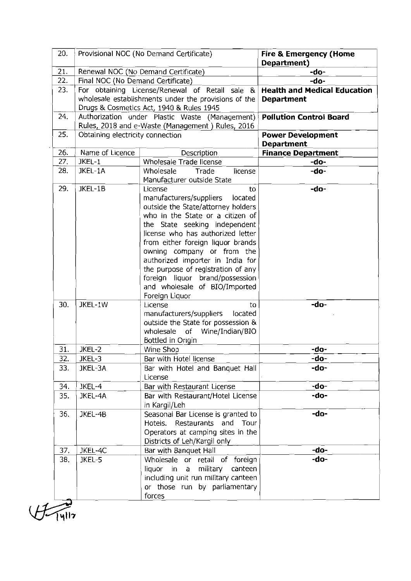| -do-<br>-do-<br><b>Health and Medical Education</b> |  |
|-----------------------------------------------------|--|
|                                                     |  |
|                                                     |  |
|                                                     |  |
|                                                     |  |
|                                                     |  |
| <b>Pollution Control Board</b>                      |  |
|                                                     |  |
| <b>Power Development</b>                            |  |
| <b>Department</b>                                   |  |
| <b>Finance Department</b>                           |  |
| -do-                                                |  |
| -do-                                                |  |
|                                                     |  |
| -do-                                                |  |
|                                                     |  |
|                                                     |  |
|                                                     |  |
|                                                     |  |
|                                                     |  |
|                                                     |  |
|                                                     |  |
|                                                     |  |
|                                                     |  |
|                                                     |  |
|                                                     |  |
|                                                     |  |
| -do-                                                |  |
|                                                     |  |
|                                                     |  |
|                                                     |  |
|                                                     |  |
|                                                     |  |
| -do-                                                |  |
| -do-                                                |  |
| -do-                                                |  |
|                                                     |  |
| -do-                                                |  |
| -do-                                                |  |
|                                                     |  |
| -do-                                                |  |
|                                                     |  |
|                                                     |  |
|                                                     |  |
| -do-                                                |  |
| -do-                                                |  |
|                                                     |  |
|                                                     |  |
|                                                     |  |
|                                                     |  |
|                                                     |  |

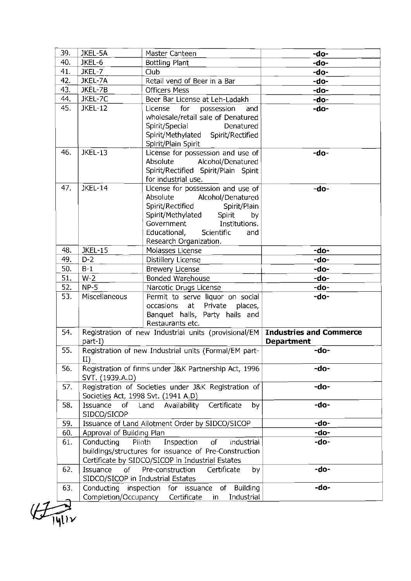|     | JKEL-5A                       | Master Canteen                                                                                                                                                                                                                            | -do-                                         |
|-----|-------------------------------|-------------------------------------------------------------------------------------------------------------------------------------------------------------------------------------------------------------------------------------------|----------------------------------------------|
| 40. | JKEL-6                        | Bottling Plant                                                                                                                                                                                                                            | -do-                                         |
| 41. | JKEL-7                        | Club                                                                                                                                                                                                                                      | -do-                                         |
| 42. | JKEL-7A                       | Retail vend of Beer in a Bar                                                                                                                                                                                                              | -do-                                         |
| 43. | JKEL-7B                       | <b>Officers Mess</b>                                                                                                                                                                                                                      | -do-                                         |
| 44. | JKEL-7C                       | Beer Bar License at Leh-Ladakh                                                                                                                                                                                                            | -do-                                         |
| 45. | <b>JKEL-12</b>                | License<br>for<br>possession<br>and<br>wholesale/retail sale of Denatured<br>Spirit/Special<br>Denatured<br>Spirit/Methylated Spirit/Rectified<br>Spirit/Plain Spirit                                                                     | -do-                                         |
| 46. | <b>JKEL-13</b>                | License for possession and use of<br>Absolute<br>Alcohol/Denatured<br>Spirit/Rectified Spirit/Plain Spirit<br>for industrial use.                                                                                                         | -do-                                         |
| 47. | <b>JKEL-14</b>                | License for possession and use of<br>Absolute<br>Alcohol/Denatured<br>Spirit/Rectified<br>Spirit/Plain<br>Spirit/Methylated<br>Spirit<br>by<br>Government<br>Institutions.<br>Educational,<br>Scientific<br>and<br>Research Organization. | -do-                                         |
| 48. | <b>JKEL-15</b>                | Molasses License                                                                                                                                                                                                                          | -do-                                         |
| 49. | $D-2$                         | Distillery License                                                                                                                                                                                                                        | -do-                                         |
| 50. | $B-1$                         | <b>Brewery License</b>                                                                                                                                                                                                                    | -do-                                         |
| 51. | $W-2$                         | <b>Bonded Warehouse</b>                                                                                                                                                                                                                   | -do-                                         |
| 52. | $NP-5$                        | Narcotic Drugs License                                                                                                                                                                                                                    | -do-                                         |
| 53. | Miscellaneous                 | Permit to serve liquor on social<br>occasions<br>at Private<br>places,<br>Banquet halls, Party halls and<br>Restaurants etc.                                                                                                              | -do-                                         |
| 54. | part-I)                       | Registration of new Industrial units (provisional/EM                                                                                                                                                                                      | <b>Industries and Commerce</b><br>Department |
|     |                               | Registration of new Industrial units (Formal/EM part-                                                                                                                                                                                     | -do-                                         |
| 55. | $\rm II)$                     |                                                                                                                                                                                                                                           |                                              |
| 56. | SVT. (1939.A.D)               | Registration of firms under J&K Partnership Act, 1996                                                                                                                                                                                     | -do-                                         |
| 57. |                               | Registration of Societies under J&K Registration of<br>Societies Act, 1998 Svt. (1941 A.D)                                                                                                                                                | -do-                                         |
| 58. | Issuance<br>of<br>SIDCO/SICOP | Certificate<br>Land<br>Availability<br>by                                                                                                                                                                                                 | -do-                                         |
| 59. |                               | Issuance of Land Allotment Order by SIDCO/SICOP                                                                                                                                                                                           | -do-                                         |
| 60. | Approval of Building Plan     |                                                                                                                                                                                                                                           | -do-                                         |
| 61. | Conducting                    | Inspection<br>industrial<br>Plinth<br>of<br>buildings/structures for issuance of Pre-Construction<br>Certificate by SIDCO/SICOP in Industrial Estates                                                                                     | -do-                                         |
| 62. | Issuance<br>of                | Pre-construction<br>Certificate<br>by<br>SIDCO/SICOP in Industrial Estates                                                                                                                                                                | -do-                                         |